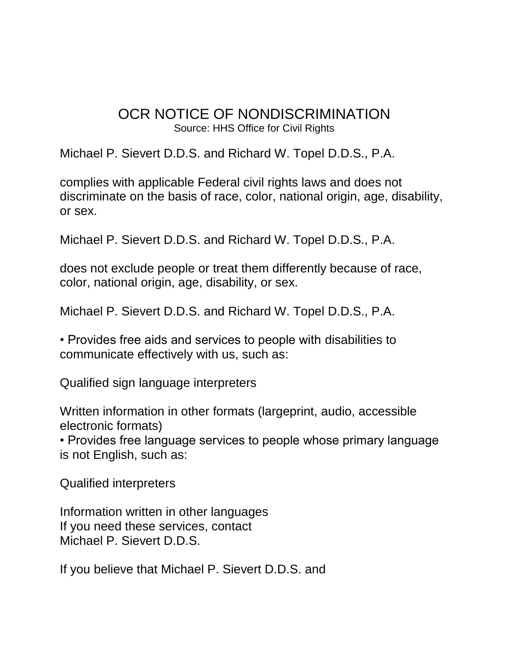## OCR NOTICE OF NONDISCRIMINATION Source: HHS Office for Civil Rights

Michael P. Sievert D.D.S. and Richard W. Topel D.D.S., P.A.

complies with applicable Federal civil rights laws and does not discriminate on the basis of race, color, national origin, age, disability, or sex.

Michael P. Sievert D.D.S. and Richard W. Topel D.D.S., P.A.

does not exclude people or treat them differently because of race, color, national origin, age, disability, or sex.

Michael P. Sievert D.D.S. and Richard W. Topel D.D.S., P.A.

• Provides free aids and services to people with disabilities to communicate effectively with us, such as:

Qualified sign language interpreters

Written information in other formats (largeprint, audio, accessible electronic formats)

• Provides free language services to people whose primary language is not English, such as:

Qualified interpreters

Information written in other languages If you need these services, contact Michael P. Sievert D.D.S.

If you believe that Michael P. Sievert D.D.S. and